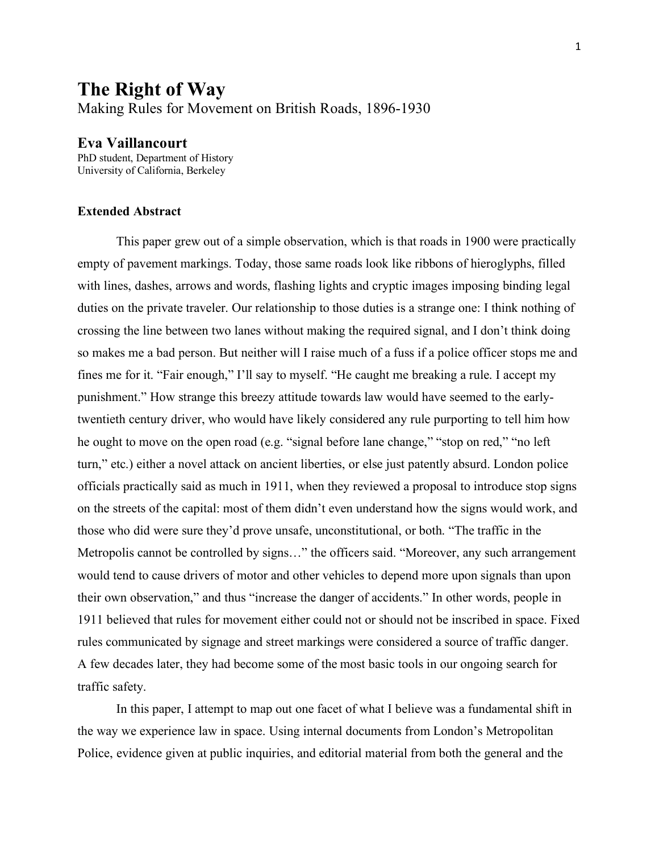## **The Right of Way**  Making Rules for Movement on British Roads, 1896-1930

## **Eva Vaillancourt**

PhD student, Department of History University of California, Berkeley

## **Extended Abstract**

This paper grew out of a simple observation, which is that roads in 1900 were practically empty of pavement markings. Today, those same roads look like ribbons of hieroglyphs, filled with lines, dashes, arrows and words, flashing lights and cryptic images imposing binding legal duties on the private traveler. Our relationship to those duties is a strange one: I think nothing of crossing the line between two lanes without making the required signal, and I don't think doing so makes me a bad person. But neither will I raise much of a fuss if a police officer stops me and fines me for it. "Fair enough," I'll say to myself. "He caught me breaking a rule. I accept my punishment." How strange this breezy attitude towards law would have seemed to the earlytwentieth century driver, who would have likely considered any rule purporting to tell him how he ought to move on the open road (e.g. "signal before lane change," "stop on red," "no left turn," etc.) either a novel attack on ancient liberties, or else just patently absurd. London police officials practically said as much in 1911, when they reviewed a proposal to introduce stop signs on the streets of the capital: most of them didn't even understand how the signs would work, and those who did were sure they'd prove unsafe, unconstitutional, or both. "The traffic in the Metropolis cannot be controlled by signs…" the officers said. "Moreover, any such arrangement would tend to cause drivers of motor and other vehicles to depend more upon signals than upon their own observation," and thus "increase the danger of accidents." In other words, people in 1911 believed that rules for movement either could not or should not be inscribed in space. Fixed rules communicated by signage and street markings were considered a source of traffic danger. A few decades later, they had become some of the most basic tools in our ongoing search for traffic safety.

In this paper, I attempt to map out one facet of what I believe was a fundamental shift in the way we experience law in space. Using internal documents from London's Metropolitan Police, evidence given at public inquiries, and editorial material from both the general and the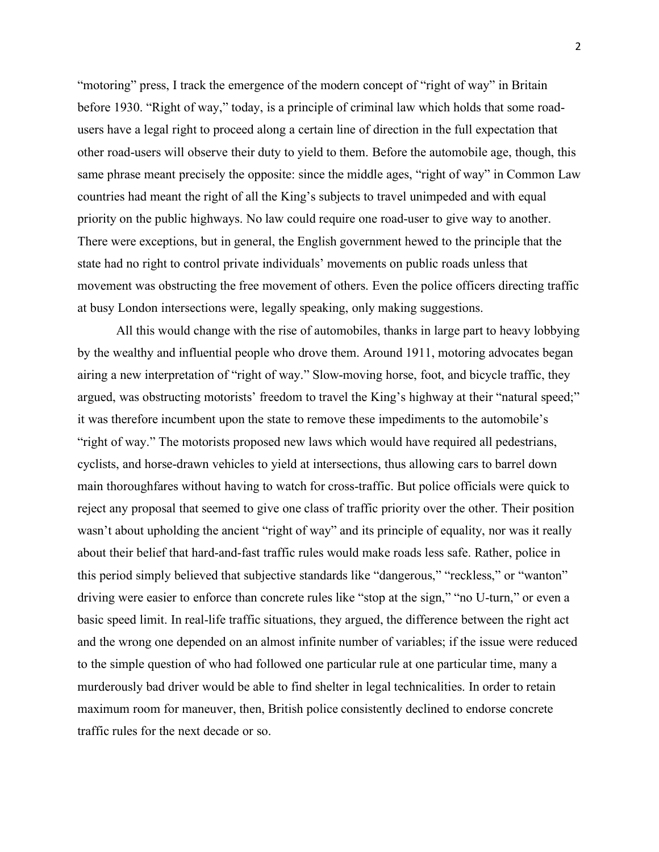"motoring" press, I track the emergence of the modern concept of "right of way" in Britain before 1930. "Right of way," today, is a principle of criminal law which holds that some roadusers have a legal right to proceed along a certain line of direction in the full expectation that other road-users will observe their duty to yield to them. Before the automobile age, though, this same phrase meant precisely the opposite: since the middle ages, "right of way" in Common Law countries had meant the right of all the King's subjects to travel unimpeded and with equal priority on the public highways. No law could require one road-user to give way to another. There were exceptions, but in general, the English government hewed to the principle that the state had no right to control private individuals' movements on public roads unless that movement was obstructing the free movement of others. Even the police officers directing traffic at busy London intersections were, legally speaking, only making suggestions.

All this would change with the rise of automobiles, thanks in large part to heavy lobbying by the wealthy and influential people who drove them. Around 1911, motoring advocates began airing a new interpretation of "right of way." Slow-moving horse, foot, and bicycle traffic, they argued, was obstructing motorists' freedom to travel the King's highway at their "natural speed;" it was therefore incumbent upon the state to remove these impediments to the automobile's "right of way." The motorists proposed new laws which would have required all pedestrians, cyclists, and horse-drawn vehicles to yield at intersections, thus allowing cars to barrel down main thoroughfares without having to watch for cross-traffic. But police officials were quick to reject any proposal that seemed to give one class of traffic priority over the other. Their position wasn't about upholding the ancient "right of way" and its principle of equality, nor was it really about their belief that hard-and-fast traffic rules would make roads less safe. Rather, police in this period simply believed that subjective standards like "dangerous," "reckless," or "wanton" driving were easier to enforce than concrete rules like "stop at the sign," "no U-turn," or even a basic speed limit. In real-life traffic situations, they argued, the difference between the right act and the wrong one depended on an almost infinite number of variables; if the issue were reduced to the simple question of who had followed one particular rule at one particular time, many a murderously bad driver would be able to find shelter in legal technicalities. In order to retain maximum room for maneuver, then, British police consistently declined to endorse concrete traffic rules for the next decade or so.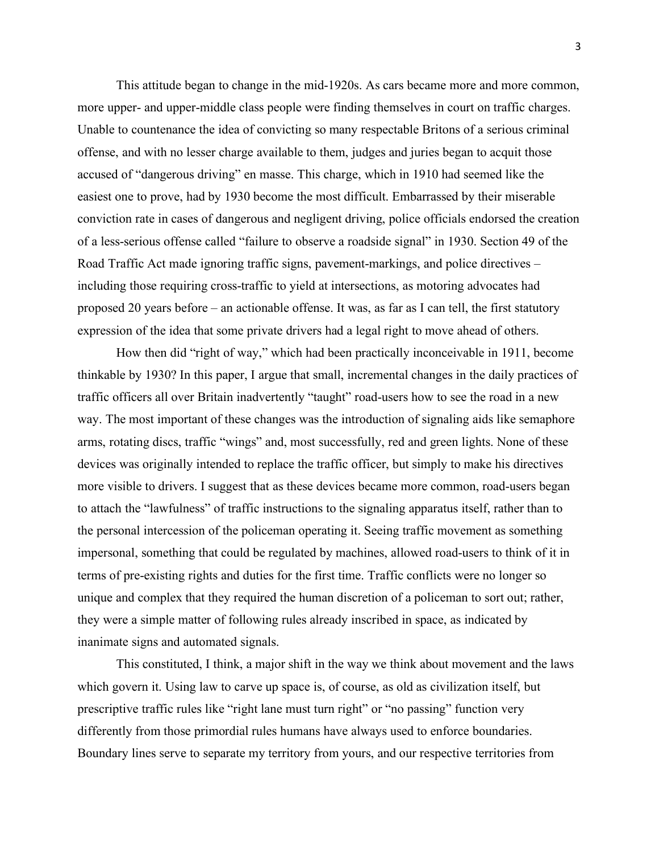This attitude began to change in the mid-1920s. As cars became more and more common, more upper- and upper-middle class people were finding themselves in court on traffic charges. Unable to countenance the idea of convicting so many respectable Britons of a serious criminal offense, and with no lesser charge available to them, judges and juries began to acquit those accused of "dangerous driving" en masse. This charge, which in 1910 had seemed like the easiest one to prove, had by 1930 become the most difficult. Embarrassed by their miserable conviction rate in cases of dangerous and negligent driving, police officials endorsed the creation of a less-serious offense called "failure to observe a roadside signal" in 1930. Section 49 of the Road Traffic Act made ignoring traffic signs, pavement-markings, and police directives – including those requiring cross-traffic to yield at intersections, as motoring advocates had proposed 20 years before – an actionable offense. It was, as far as I can tell, the first statutory expression of the idea that some private drivers had a legal right to move ahead of others.

How then did "right of way," which had been practically inconceivable in 1911, become thinkable by 1930? In this paper, I argue that small, incremental changes in the daily practices of traffic officers all over Britain inadvertently "taught" road-users how to see the road in a new way. The most important of these changes was the introduction of signaling aids like semaphore arms, rotating discs, traffic "wings" and, most successfully, red and green lights. None of these devices was originally intended to replace the traffic officer, but simply to make his directives more visible to drivers. I suggest that as these devices became more common, road-users began to attach the "lawfulness" of traffic instructions to the signaling apparatus itself, rather than to the personal intercession of the policeman operating it. Seeing traffic movement as something impersonal, something that could be regulated by machines, allowed road-users to think of it in terms of pre-existing rights and duties for the first time. Traffic conflicts were no longer so unique and complex that they required the human discretion of a policeman to sort out; rather, they were a simple matter of following rules already inscribed in space, as indicated by inanimate signs and automated signals.

This constituted, I think, a major shift in the way we think about movement and the laws which govern it. Using law to carve up space is, of course, as old as civilization itself, but prescriptive traffic rules like "right lane must turn right" or "no passing" function very differently from those primordial rules humans have always used to enforce boundaries. Boundary lines serve to separate my territory from yours, and our respective territories from